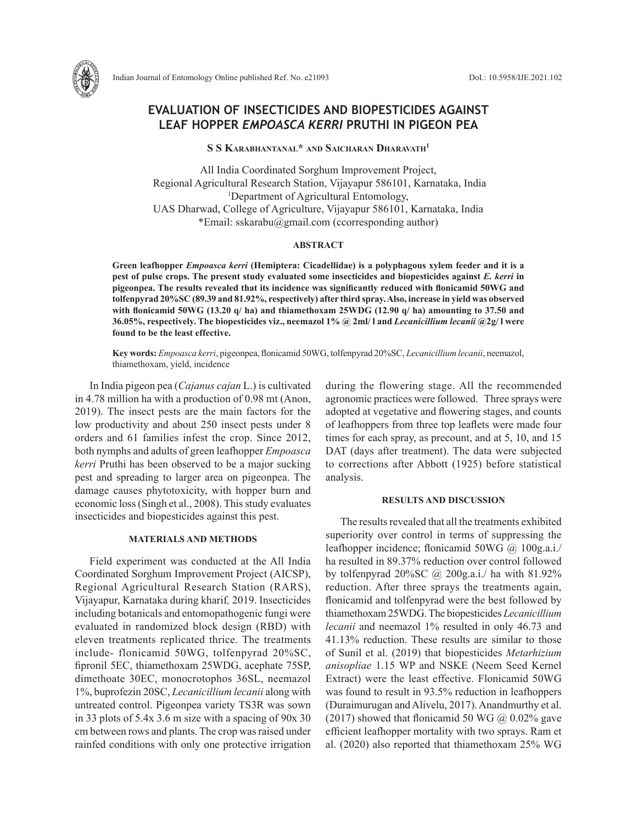

Indian Journal of Entomology Online published Ref. No. e21093 DoI.: 10.5958/IJE.2021.102

# **EVALUATION OF INSECTICIDES AND BIOPESTICIDES AGAINST LEAF HOPPER** *EMPOASCA KERRI* **PRUTHI IN PIGEON PEA**

**S S Karabhantanal\* and Saicharan Dharavath1**

All India Coordinated Sorghum Improvement Project, Regional Agricultural Research Station, Vijayapur 586101, Karnataka, India 1 Department of Agricultural Entomology, UAS Dharwad, College of Agriculture, Vijayapur 586101, Karnataka, India \*Email: sskarabu@gmail.com (ccorresponding author)

### **ABSTRACT**

**Green leafhopper** *Empoasca kerri* **(Hemiptera: Cicadellidae) is a polyphagous xylem feeder and it is a pest of pulse crops. The present study evaluated some insecticides and biopesticides against** *E. kerri* **in pigeonpea. The results revealed that its incidence was significantly reduced with flonicamid 50WG and tolfenpyrad 20%SC (89.39 and 81.92%, respectively) after third spray. Also, increase in yield was observed with flonicamid 50WG (13.20 q/ ha) and thiamethoxam 25WDG (12.90 q/ ha) amounting to 37.50 and 36.05%, respectively. The biopesticides viz., neemazol 1% @ 2ml/ l and** *Lecanicillium lecanii* **@2g/ l were found to be the least effective.** 

**Key words:** *Empoasca kerri*, pigeonpea, flonicamid 50WG, tolfenpyrad 20%SC, *Lecanicillium lecanii*, neemazol, thiamethoxam, yield, incidence

In India pigeon pea (*Cajanus cajan* L.) is cultivated in 4.78 million ha with a production of 0.98 mt (Anon, 2019). The insect pests are the main factors for the low productivity and about 250 insect pests under 8 orders and 61 families infest the crop. Since 2012, both nymphs and adults of green leafhopper *Empoasca kerri* Pruthi has been observed to be a major sucking pest and spreading to larger area on pigeonpea. The damage causes phytotoxicity, with hopper burn and economic loss (Singh et al., 2008). This study evaluates insecticides and biopesticides against this pest.

## **MATERIALS AND METHODS**

Field experiment was conducted at the All India Coordinated Sorghum Improvement Project (AICSP), Regional Agricultural Research Station (RARS), Vijayapur, Karnataka during kharif*,* 2019. Insecticides including botanicals and entomopathogenic fungi were evaluated in randomized block design (RBD) with eleven treatments replicated thrice. The treatments include- flonicamid 50WG, tolfenpyrad 20%SC, fipronil 5EC, thiamethoxam 25WDG, acephate 75SP, dimethoate 30EC, monocrotophos 36SL, neemazol 1%, buprofezin 20SC, *Lecanicillium lecanii* along with untreated control. Pigeonpea variety TS3R was sown in 33 plots of 5.4x 3.6 m size with a spacing of 90x 30 cm between rows and plants. The crop was raised under rainfed conditions with only one protective irrigation during the flowering stage. All the recommended agronomic practices were followed. Three sprays were adopted at vegetative and flowering stages, and counts of leafhoppers from three top leaflets were made four times for each spray, as precount, and at 5, 10, and 15 DAT (days after treatment). The data were subjected to corrections after Abbott (1925) before statistical analysis.

#### **RESULTS AND DISCUSSION**

The results revealed that all the treatments exhibited superiority over control in terms of suppressing the leafhopper incidence; flonicamid 50WG @ 100g.a.i./ ha resulted in 89.37% reduction over control followed by tolfenpyrad  $20\%$ SC @  $200$ g.a.i./ ha with 81.92% reduction. After three sprays the treatments again, flonicamid and tolfenpyrad were the best followed by thiamethoxam 25WDG. The biopesticides *Lecanicillium lecanii* and neemazol 1% resulted in only 46.73 and 41.13% reduction. These results are similar to those of Sunil et al. (2019) that biopesticides *Metarhizium anisopliae* 1.15 WP and NSKE (Neem Seed Kernel Extract) were the least effective. Flonicamid 50WG was found to result in 93.5% reduction in leafhoppers (Duraimurugan and Alivelu, 2017). Anandmurthy et al. (2017) showed that flonicamid 50 WG  $\omega$  0.02% gave efficient leafhopper mortality with two sprays. Ram et al. (2020) also reported that thiamethoxam 25% WG